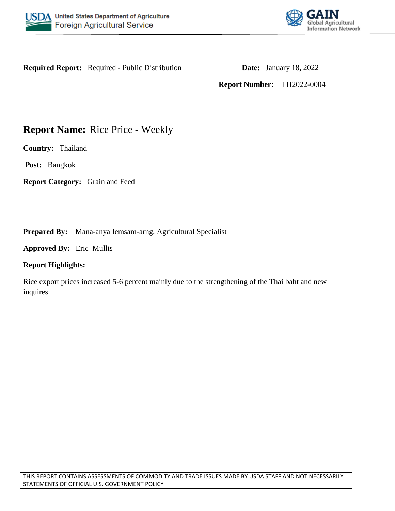



**Required Report:** Required - Public Distribution **Date:** January 18, 2022

**Report Number:** TH2022-0004

# **Report Name:** Rice Price - Weekly

**Country:** Thailand

**Post:** Bangkok

**Report Category:** Grain and Feed

**Prepared By:** Mana-anya Iemsam-arng, Agricultural Specialist

**Approved By:** Eric Mullis

### **Report Highlights:**

Rice export prices increased 5-6 percent mainly due to the strengthening of the Thai baht and new inquires.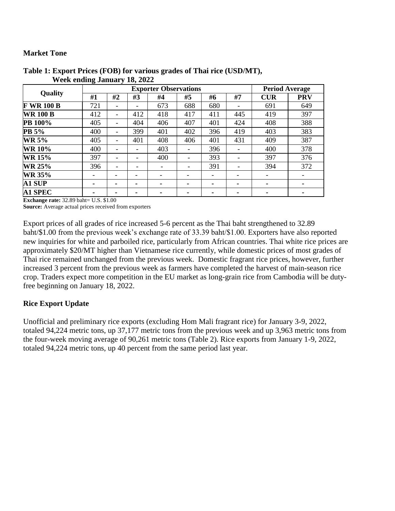## **Market Tone**

| <b>Quality</b>    | $\bullet$ - |                          | <b>Period Average</b>    |                          |     |     |                          |            |            |
|-------------------|-------------|--------------------------|--------------------------|--------------------------|-----|-----|--------------------------|------------|------------|
|                   | #1          | #2                       | #3                       | #4                       | #5  | #6  | #7                       | <b>CUR</b> | <b>PRV</b> |
| <b>F WR 100 B</b> | 721         | $\qquad \qquad -$        | $\overline{\phantom{a}}$ | 673                      | 688 | 680 |                          | 691        | 649        |
| <b>WR 100 B</b>   | 412         | $\overline{\phantom{a}}$ | 412                      | 418                      | 417 | 411 | 445                      | 419        | 397        |
| <b>PB 100%</b>    | 405         | $\overline{\phantom{a}}$ | 404                      | 406                      | 407 | 401 | 424                      | 408        | 388        |
| PB 5%             | 400         | $\overline{\phantom{a}}$ | 399                      | 401                      | 402 | 396 | 419                      | 403        | 383        |
| <b>WR 5%</b>      | 405         | $\overline{\phantom{a}}$ | 401                      | 408                      | 406 | 401 | 431                      | 409        | 387        |
| <b>WR 10%</b>     | 400         | $\overline{\phantom{a}}$ | $\overline{\phantom{a}}$ | 403                      |     | 396 |                          | 400        | 378        |
| <b>WR 15%</b>     | 397         | $\overline{\phantom{a}}$ | $\overline{\phantom{a}}$ | 400                      |     | 393 |                          | 397        | 376        |
| <b>WR 25%</b>     | 396         | $\overline{\phantom{a}}$ | ٠                        | $\overline{\phantom{0}}$ |     | 391 |                          | 394        | 372        |
| <b>WR 35%</b>     |             | $\overline{\phantom{0}}$ |                          | $\overline{\phantom{a}}$ |     | -   | $\overline{\phantom{0}}$ |            |            |
| <b>A1 SUP</b>     |             | -                        | -                        |                          | -   |     | ۰                        |            |            |
| <b>A1 SPEC</b>    |             |                          |                          | ۰                        |     |     |                          |            |            |

#### **Table 1: Export Prices (FOB) for various grades of Thai rice (USD/MT), Week ending January 18, 2022**

**Exchange rate:** 32.89 baht= U.S. \$1.00

**Source:** Average actual prices received from exporters

Export prices of all grades of rice increased 5-6 percent as the Thai baht strengthened to 32.89 baht/\$1.00 from the previous week's exchange rate of 33.39 baht/\$1.00. Exporters have also reported new inquiries for white and parboiled rice, particularly from African countries. Thai white rice prices are approximately \$20/MT higher than Vietnamese rice currently, while domestic prices of most grades of Thai rice remained unchanged from the previous week. Domestic fragrant rice prices, however, further increased 3 percent from the previous week as farmers have completed the harvest of main-season rice crop. Traders expect more competition in the EU market as long-grain rice from Cambodia will be dutyfree beginning on January 18, 2022.

# **Rice Export Update**

Unofficial and preliminary rice exports (excluding Hom Mali fragrant rice) for January 3-9, 2022, totaled 94,224 metric tons, up 37,177 metric tons from the previous week and up 3,963 metric tons from the four-week moving average of 90,261 metric tons (Table 2). Rice exports from January 1-9, 2022, totaled 94,224 metric tons, up 40 percent from the same period last year.